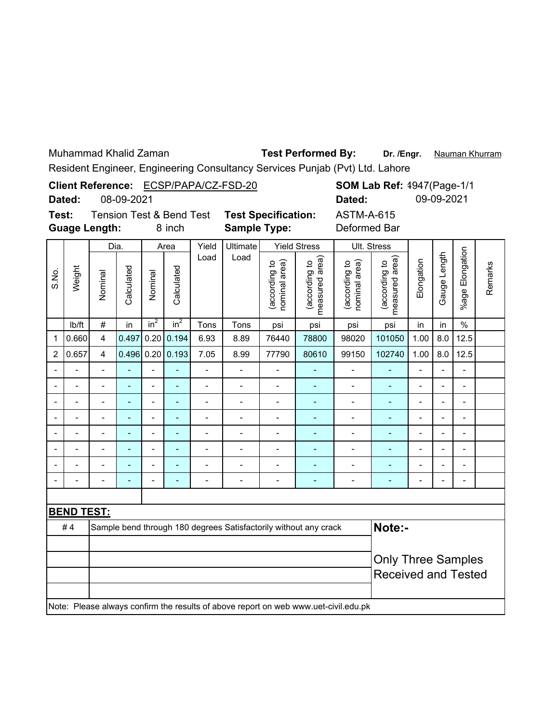Muhammad Khalid Zaman

## Test Performed By: Dr. /Engr. Nauman Khurram

Resident Engineer, Engineering Consultancy Services Punjab (Pvt) Ltd. Lahore

| Client Reference: ECSP/PAPA/CZ-FSD-20<br>08-09-2021<br>Dated:                  |                |                          |                |                          |                              |                          |                                                                  |                                |                                    | Dated:                                                                              |                                   | <b>SOM Lab Ref: 4947(Page-1/1</b><br>09-09-2021 |                |                          |         |
|--------------------------------------------------------------------------------|----------------|--------------------------|----------------|--------------------------|------------------------------|--------------------------|------------------------------------------------------------------|--------------------------------|------------------------------------|-------------------------------------------------------------------------------------|-----------------------------------|-------------------------------------------------|----------------|--------------------------|---------|
| Test:<br><b>Tension Test &amp; Bend Test</b><br><b>Guage Length:</b><br>8 inch |                |                          |                |                          |                              |                          | <b>Test Specification:</b><br><b>Sample Type:</b>                |                                |                                    |                                                                                     | <b>ASTM-A-615</b><br>Deformed Bar |                                                 |                |                          |         |
|                                                                                |                | Dia.                     |                |                          | Area                         | Yield                    | Ultimate                                                         |                                | <b>Yield Stress</b>                |                                                                                     | Ult. Stress                       |                                                 |                |                          | Remarks |
| S.No.                                                                          | Weight         | Nominal                  | Calculated     | Nominal                  | Calculated                   | Load                     | Load                                                             | (according to<br>nominal area) | area)<br>(according to<br>measured | nominal area)<br>(according to                                                      | measured area)<br>(according to   | Elongation                                      | Gauge Length   | Elongation<br>%age I     |         |
|                                                                                | Ib/ft          | $\#$                     | in             | $in^2$                   | in <sup>2</sup>              | Tons                     | Tons                                                             | psi                            | psi                                | psi                                                                                 | psi                               | in                                              | in             | $\frac{0}{0}$            |         |
| 1                                                                              | 0.660          | $\overline{4}$           | 0.497          | 0.20                     | 0.194                        | 6.93                     | 8.89                                                             | 76440                          | 78800                              | 98020                                                                               | 101050                            | 1.00                                            | 8.0            | 12.5                     |         |
| $\overline{c}$                                                                 | 0.657          | $\overline{4}$           | 0.496          |                          | 0.20   0.193                 | 7.05                     | 8.99                                                             | 77790                          | 80610                              | 99150                                                                               | 102740                            | 1.00                                            | 8.0            | 12.5                     |         |
|                                                                                |                | $\overline{\phantom{0}}$ |                |                          |                              | $\overline{a}$           | $\blacksquare$                                                   |                                |                                    |                                                                                     | ÷,                                | $\overline{a}$                                  |                | $\frac{1}{2}$            |         |
|                                                                                | $\overline{a}$ | $\overline{\phantom{0}}$ | L,             | $\overline{a}$           | ä,                           | $\frac{1}{2}$            | $\frac{1}{2}$                                                    | $\overline{\phantom{0}}$       | $\blacksquare$                     | $\overline{a}$                                                                      | $\blacksquare$                    | $\overline{\phantom{a}}$                        | $\overline{a}$ | $\blacksquare$           |         |
|                                                                                | $\blacksquare$ | $\overline{a}$           | $\overline{a}$ | $\overline{a}$           | $\overline{\phantom{a}}$     | $\overline{a}$           |                                                                  | $\blacksquare$                 | $\blacksquare$                     | $\overline{a}$                                                                      | ÷,                                | $\overline{\phantom{a}}$                        |                | $\blacksquare$           |         |
|                                                                                |                | -                        |                | $\overline{\phantom{a}}$ | $\qquad \qquad \blacksquare$ | $\overline{\phantom{0}}$ | -                                                                | $\overline{\phantom{0}}$       | $\qquad \qquad \blacksquare$       | $\overline{a}$                                                                      | ۰                                 | $\overline{a}$                                  |                | $\overline{\phantom{0}}$ |         |
|                                                                                | $\overline{a}$ | $\overline{a}$           | L,             | $\overline{a}$           | $\blacksquare$               | $\overline{\phantom{0}}$ | $\blacksquare$                                                   | L,                             | $\blacksquare$                     | $\overline{a}$                                                                      | $\blacksquare$                    | $\blacksquare$                                  |                | $\overline{\phantom{0}}$ |         |
|                                                                                | $\blacksquare$ | $\overline{a}$           |                | $\blacksquare$           | L,                           | $\blacksquare$           |                                                                  |                                |                                    | $\overline{a}$                                                                      | ÷,                                | $\overline{a}$                                  |                | $\overline{\phantom{a}}$ |         |
|                                                                                |                | $\overline{a}$           |                | $\overline{a}$           | ä,                           | $\overline{a}$           | $\overline{a}$                                                   | $\overline{a}$                 |                                    | $\overline{a}$                                                                      | ÷,                                | $\overline{a}$                                  |                | $\overline{a}$           |         |
|                                                                                |                |                          |                | $\overline{\phantom{a}}$ | ÷                            | $\blacksquare$           | $\overline{\phantom{a}}$                                         | $\qquad \qquad \blacksquare$   | $\blacksquare$                     | $\qquad \qquad \blacksquare$                                                        | $\blacksquare$                    |                                                 |                | $\overline{\phantom{m}}$ |         |
|                                                                                |                |                          |                |                          |                              |                          |                                                                  |                                |                                    |                                                                                     |                                   |                                                 |                |                          |         |
| <b>BEND TEST:</b>                                                              |                |                          |                |                          |                              |                          |                                                                  |                                |                                    |                                                                                     |                                   |                                                 |                |                          |         |
|                                                                                | #4             |                          |                |                          |                              |                          | Sample bend through 180 degrees Satisfactorily without any crack |                                |                                    |                                                                                     | Note:-                            |                                                 |                |                          |         |
|                                                                                |                |                          |                |                          |                              |                          |                                                                  |                                |                                    |                                                                                     |                                   |                                                 |                |                          |         |
|                                                                                |                |                          |                |                          |                              |                          |                                                                  |                                |                                    |                                                                                     | <b>Only Three Samples</b>         |                                                 |                |                          |         |
|                                                                                |                |                          |                |                          |                              |                          |                                                                  |                                |                                    |                                                                                     | <b>Received and Tested</b>        |                                                 |                |                          |         |
|                                                                                |                |                          |                |                          |                              |                          |                                                                  |                                |                                    | Note: Please always confirm the results of above report on web www.uet-civil.edu.pk |                                   |                                                 |                |                          |         |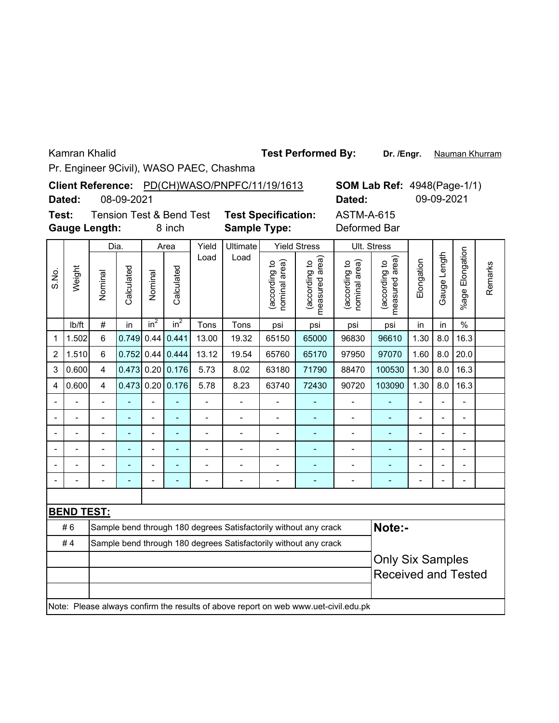Kamran Khalid

**Dr. /Engr.** Nauman Khurram **Test Performed By:**

Pr. Engineer 9Civil), WASO PAEC, Chashma

|                                                                                | Dated:            |                | 08-09-2021 |                          |                  |                          | Client Reference: PD(CH)WASO/PNPFC/11/19/1613                    |                                |                                 | Dated:                                                                              |                                 | <b>SOM Lab Ref: 4948(Page-1/1)</b><br>09-09-2021 |              |                      |         |
|--------------------------------------------------------------------------------|-------------------|----------------|------------|--------------------------|------------------|--------------------------|------------------------------------------------------------------|--------------------------------|---------------------------------|-------------------------------------------------------------------------------------|---------------------------------|--------------------------------------------------|--------------|----------------------|---------|
| Test:<br><b>Tension Test &amp; Bend Test</b><br><b>Gauge Length:</b><br>8 inch |                   |                |            |                          |                  |                          | <b>Test Specification:</b><br><b>Sample Type:</b>                |                                |                                 | <b>ASTM-A-615</b><br>Deformed Bar                                                   |                                 |                                                  |              |                      |         |
|                                                                                |                   |                | Dia.       |                          | Area             | Yield                    | <b>Ultimate</b>                                                  |                                | <b>Yield Stress</b>             |                                                                                     | Ult. Stress                     |                                                  |              |                      |         |
| S.No.                                                                          | Weight            | Nominal        | Calculated | Nominal                  | Calculated       | Load                     | Load                                                             | (according to<br>nominal area) | measured area)<br>(according to | nominal area)<br>(according to                                                      | measured area)<br>(according to | Elongation                                       | Gauge Length | Elongation<br>%age l | Remarks |
|                                                                                | lb/ft             | #              | in         | in <sup>2</sup>          | in <sup>2</sup>  | Tons                     | Tons                                                             | psi                            | psi                             | psi                                                                                 | psi                             | in                                               | in           | $\%$                 |         |
| 1                                                                              | 1.502             | 6              | 0.749      | 0.44                     | 0.441            | 13.00                    | 19.32                                                            | 65150                          | 65000                           | 96830                                                                               | 96610                           | 1.30                                             | 8.0          | 16.3                 |         |
| $\overline{2}$                                                                 | 1.510             | 6              | 0.752      |                          | $0.44$ 0.444     | 13.12                    | 19.54                                                            | 65760                          | 65170                           | 97950                                                                               | 97070                           | 1.60                                             | 8.0          | 20.0                 |         |
| 3                                                                              | 0.600             | 4              |            |                          | 0.473 0.20 0.176 | 5.73                     | 8.02                                                             | 63180                          | 71790                           | 88470                                                                               | 100530                          | 1.30                                             | 8.0          | 16.3                 |         |
| 4                                                                              | 0.600             | $\overline{4}$ |            |                          | 0.473 0.20 0.176 | 5.78                     | 8.23                                                             | 63740                          | 72430                           | 90720                                                                               | 103090                          | 1.30                                             | 8.0          | 16.3                 |         |
|                                                                                |                   |                |            | $\overline{a}$           |                  | $\overline{\phantom{0}}$ | $\overline{\phantom{0}}$                                         |                                |                                 | $\qquad \qquad \blacksquare$                                                        |                                 | $\overline{\phantom{0}}$                         |              | $\overline{a}$       |         |
|                                                                                |                   |                |            | $\blacksquare$           |                  | $\overline{a}$           | $\blacksquare$                                                   | $\overline{a}$                 | ۰                               | $\qquad \qquad \blacksquare$                                                        | $\overline{a}$                  | $\overline{a}$                                   |              | $\overline{a}$       |         |
|                                                                                |                   | $\overline{a}$ |            | $\overline{\phantom{0}}$ | L,               | $\overline{a}$           | $\overline{\phantom{0}}$                                         | $\overline{a}$                 |                                 | $\overline{a}$                                                                      | ÷,                              | $\overline{a}$                                   |              | $\overline{a}$       |         |
|                                                                                |                   |                |            |                          |                  | $\overline{a}$           | $\overline{a}$                                                   | $\overline{a}$                 | $\overline{\phantom{a}}$        | $\overline{a}$                                                                      | ä,                              | $\overline{a}$                                   |              | $\overline{a}$       |         |
|                                                                                |                   |                |            | $\overline{a}$           |                  | $\overline{a}$           |                                                                  |                                |                                 | $\blacksquare$                                                                      |                                 |                                                  |              | $\overline{a}$       |         |
|                                                                                |                   |                |            | $\overline{a}$           |                  |                          |                                                                  |                                |                                 | $\overline{a}$                                                                      |                                 |                                                  |              |                      |         |
|                                                                                |                   |                |            |                          |                  |                          |                                                                  |                                |                                 |                                                                                     |                                 |                                                  |              |                      |         |
|                                                                                | <b>BEND TEST:</b> |                |            |                          |                  |                          |                                                                  |                                |                                 |                                                                                     |                                 |                                                  |              |                      |         |
|                                                                                | #6                |                |            |                          |                  |                          | Sample bend through 180 degrees Satisfactorily without any crack |                                |                                 |                                                                                     | Note:-                          |                                                  |              |                      |         |
|                                                                                | #4                |                |            |                          |                  |                          | Sample bend through 180 degrees Satisfactorily without any crack |                                |                                 |                                                                                     |                                 |                                                  |              |                      |         |
|                                                                                |                   |                |            |                          |                  |                          |                                                                  |                                |                                 |                                                                                     | <b>Only Six Samples</b>         |                                                  |              |                      |         |
|                                                                                |                   |                |            |                          |                  |                          |                                                                  |                                |                                 |                                                                                     | <b>Received and Tested</b>      |                                                  |              |                      |         |
|                                                                                |                   |                |            |                          |                  |                          |                                                                  |                                |                                 |                                                                                     |                                 |                                                  |              |                      |         |
|                                                                                |                   |                |            |                          |                  |                          |                                                                  |                                |                                 | Note: Please always confirm the results of above report on web www.uet-civil.edu.pk |                                 |                                                  |              |                      |         |
|                                                                                |                   |                |            |                          |                  |                          |                                                                  |                                |                                 |                                                                                     |                                 |                                                  |              |                      |         |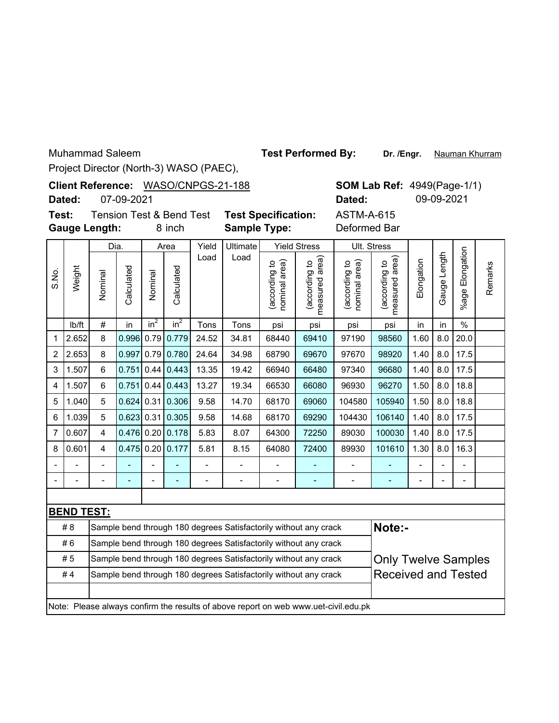Muhammad Saleem

**Test Performed By:**

**Dr. /Engr.** Nauman Khurram

**SOM Lab Ref: 4949(Page-1/1)** 

**Dated:** 09-09-2021

Project Director (North-3) WASO (PAEC),

Client Reference: WASO/CNPGS-21-188

**Dated:** 07-09-2021

**Gauge Length: Test:**

8 inch **Sample Type:** Deformed Bar

Tension Test & Bend Test **Test Specification:** ASTM-A-615

|                |                                                                                     | Dia.           |              |                | Area                     | Yield                    | Ultimate |                               | <b>Yield Stress</b>                                              |                                   | Ult. Stress                        |                |                |                          |         |
|----------------|-------------------------------------------------------------------------------------|----------------|--------------|----------------|--------------------------|--------------------------|----------|-------------------------------|------------------------------------------------------------------|-----------------------------------|------------------------------------|----------------|----------------|--------------------------|---------|
| S.No.          | Weight                                                                              | Nominal        | Calculated   | Nominal        | Calculated               | Load                     | Load     | according to<br>nominal area) | measured area)<br>(according to                                  | (according to<br>area)<br>nominal | area)<br>(according to<br>measured | Elongation     | Gauge Length   | Elongation<br>$%$ age    | Remarks |
|                | lb/ft                                                                               | $\#$           | in           | $in^2$         | $in^2$                   | Tons                     | Tons     | psi                           | psi                                                              | psi                               | psi                                | in             | in             | $\frac{0}{0}$            |         |
| 1              | 2.652                                                                               | 8              | 0.996        |                | $0.79$ 0.779             | 24.52                    | 34.81    | 68440                         | 69410                                                            | 97190                             | 98560                              | 1.60           | 8.0            | 20.0                     |         |
| 2              | 2.653                                                                               | 8              | 0.997        |                | $0.79$ 0.780             | 24.64                    | 34.98    | 68790                         | 69670                                                            | 97670                             | 98920                              | 1.40           | 8.0            | 17.5                     |         |
| 3              | 1.507                                                                               | $6\phantom{1}$ | 0.751        | 0.44           | 0.443                    | 13.35                    | 19.42    | 66940                         | 66480                                                            | 97340                             | 96680                              | 1.40           | 8.0            | 17.5                     |         |
| 4              | 1.507                                                                               | $6\phantom{1}$ | 0.751        | 0.44           | 0.443                    | 13.27                    | 19.34    | 66530                         | 66080                                                            | 96930                             | 96270                              | 1.50           | 8.0            | 18.8                     |         |
| 5              | 1.040                                                                               | 5              | 0.624        | 0.31           | 0.306                    | 9.58                     | 14.70    | 68170                         | 69060                                                            | 104580                            | 105940                             | 1.50           | 8.0            | 18.8                     |         |
| 6              | 1.039                                                                               | 5              | $0.623$ 0.31 |                | 0.305                    | 9.58                     | 14.68    | 68170                         | 69290                                                            | 104430                            | 106140                             | 1.40           | 8.0            | 17.5                     |         |
| $\overline{7}$ | 0.607                                                                               | 4              |              |                | 0.476 0.20 0.178         | 5.83                     | 8.07     | 64300                         | 72250                                                            | 89030                             | 100030                             | 1.40           | 8.0            | 17.5                     |         |
| 8              | 0.601                                                                               | 4              | 0.475        |                | $0.20$ 0.177             | 5.81                     | 8.15     | 64080                         | 72400                                                            | 89930                             | 101610                             | 1.30           | 8.0            | 16.3                     |         |
|                |                                                                                     |                |              |                | L,                       | $\overline{\phantom{a}}$ |          | $\overline{\phantom{a}}$      |                                                                  |                                   |                                    | $\blacksquare$ | $\overline{a}$ | $\blacksquare$           |         |
|                |                                                                                     | $\overline{a}$ |              | $\overline{a}$ | $\overline{\phantom{a}}$ | $\overline{a}$           | -        | $\overline{a}$                | ÷,                                                               | $\overline{\phantom{0}}$          | ٠                                  | $\blacksquare$ | $\overline{a}$ | $\overline{\phantom{0}}$ |         |
|                |                                                                                     |                |              |                |                          |                          |          |                               |                                                                  |                                   |                                    |                |                |                          |         |
|                | <b>BEND TEST:</b>                                                                   |                |              |                |                          |                          |          |                               |                                                                  |                                   |                                    |                |                |                          |         |
|                | #8                                                                                  |                |              |                |                          |                          |          |                               | Sample bend through 180 degrees Satisfactorily without any crack |                                   | Note:-                             |                |                |                          |         |
|                | #6                                                                                  |                |              |                |                          |                          |          |                               | Sample bend through 180 degrees Satisfactorily without any crack |                                   |                                    |                |                |                          |         |
|                | #5                                                                                  |                |              |                |                          |                          |          |                               | Sample bend through 180 degrees Satisfactorily without any crack |                                   | <b>Only Twelve Samples</b>         |                |                |                          |         |
|                | #4                                                                                  |                |              |                |                          |                          |          |                               | Sample bend through 180 degrees Satisfactorily without any crack |                                   | <b>Received and Tested</b>         |                |                |                          |         |
|                |                                                                                     |                |              |                |                          |                          |          |                               |                                                                  |                                   |                                    |                |                |                          |         |
|                | Note: Please always confirm the results of above report on web www.uet-civil.edu.pk |                |              |                |                          |                          |          |                               |                                                                  |                                   |                                    |                |                |                          |         |